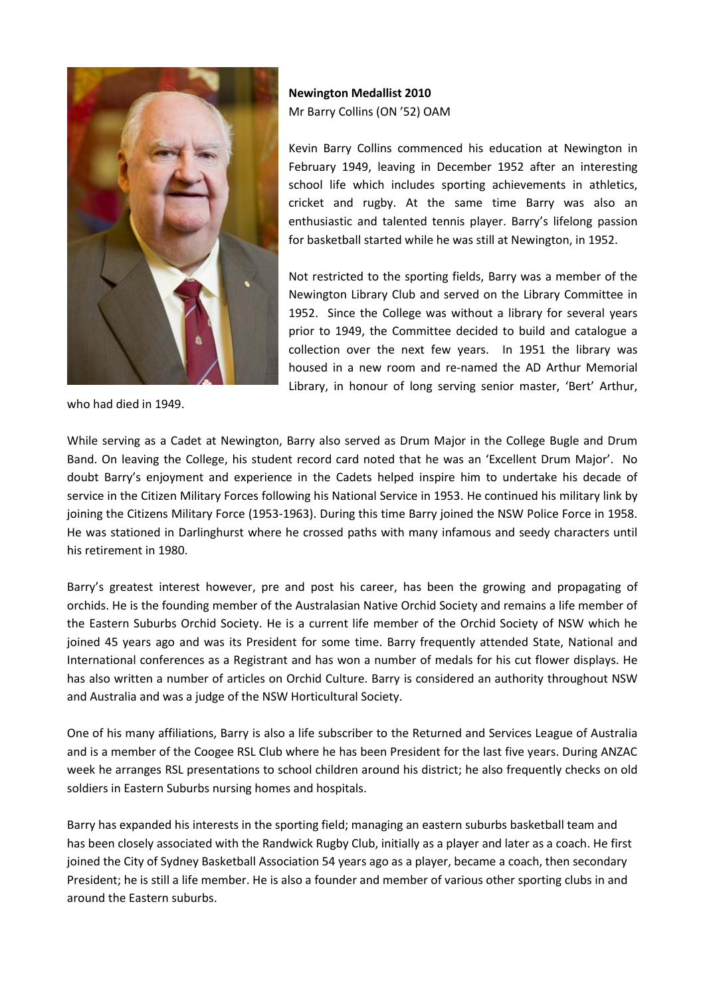

who had died in 1949.

## **Newington Medallist 2010** Mr Barry Collins (ON '52) OAM

Kevin Barry Collins commenced his education at Newington in February 1949, leaving in December 1952 after an interesting school life which includes sporting achievements in athletics, cricket and rugby. At the same time Barry was also an enthusiastic and talented tennis player. Barry's lifelong passion for basketball started while he was still at Newington, in 1952.

Not restricted to the sporting fields, Barry was a member of the Newington Library Club and served on the Library Committee in 1952. Since the College was without a library for several years prior to 1949, the Committee decided to build and catalogue a collection over the next few years. In 1951 the library was housed in a new room and re-named the AD Arthur Memorial Library, in honour of long serving senior master, 'Bert' Arthur,

While serving as a Cadet at Newington, Barry also served as Drum Major in the College Bugle and Drum Band. On leaving the College, his student record card noted that he was an 'Excellent Drum Major'. No doubt Barry's enjoyment and experience in the Cadets helped inspire him to undertake his decade of service in the Citizen Military Forces following his National Service in 1953. He continued his military link by joining the Citizens Military Force (1953-1963). During this time Barry joined the NSW Police Force in 1958. He was stationed in Darlinghurst where he crossed paths with many infamous and seedy characters until his retirement in 1980.

Barry's greatest interest however, pre and post his career, has been the growing and propagating of orchids. He is the founding member of the Australasian Native Orchid Society and remains a life member of the Eastern Suburbs Orchid Society. He is a current life member of the Orchid Society of NSW which he joined 45 years ago and was its President for some time. Barry frequently attended State, National and International conferences as a Registrant and has won a number of medals for his cut flower displays. He has also written a number of articles on Orchid Culture. Barry is considered an authority throughout NSW and Australia and was a judge of the NSW Horticultural Society.

One of his many affiliations, Barry is also a life subscriber to the Returned and Services League of Australia and is a member of the Coogee RSL Club where he has been President for the last five years. During ANZAC week he arranges RSL presentations to school children around his district; he also frequently checks on old soldiers in Eastern Suburbs nursing homes and hospitals.

Barry has expanded his interests in the sporting field; managing an eastern suburbs basketball team and has been closely associated with the Randwick Rugby Club, initially as a player and later as a coach. He first joined the City of Sydney Basketball Association 54 years ago as a player, became a coach, then secondary President; he is still a life member. He is also a founder and member of various other sporting clubs in and around the Eastern suburbs.